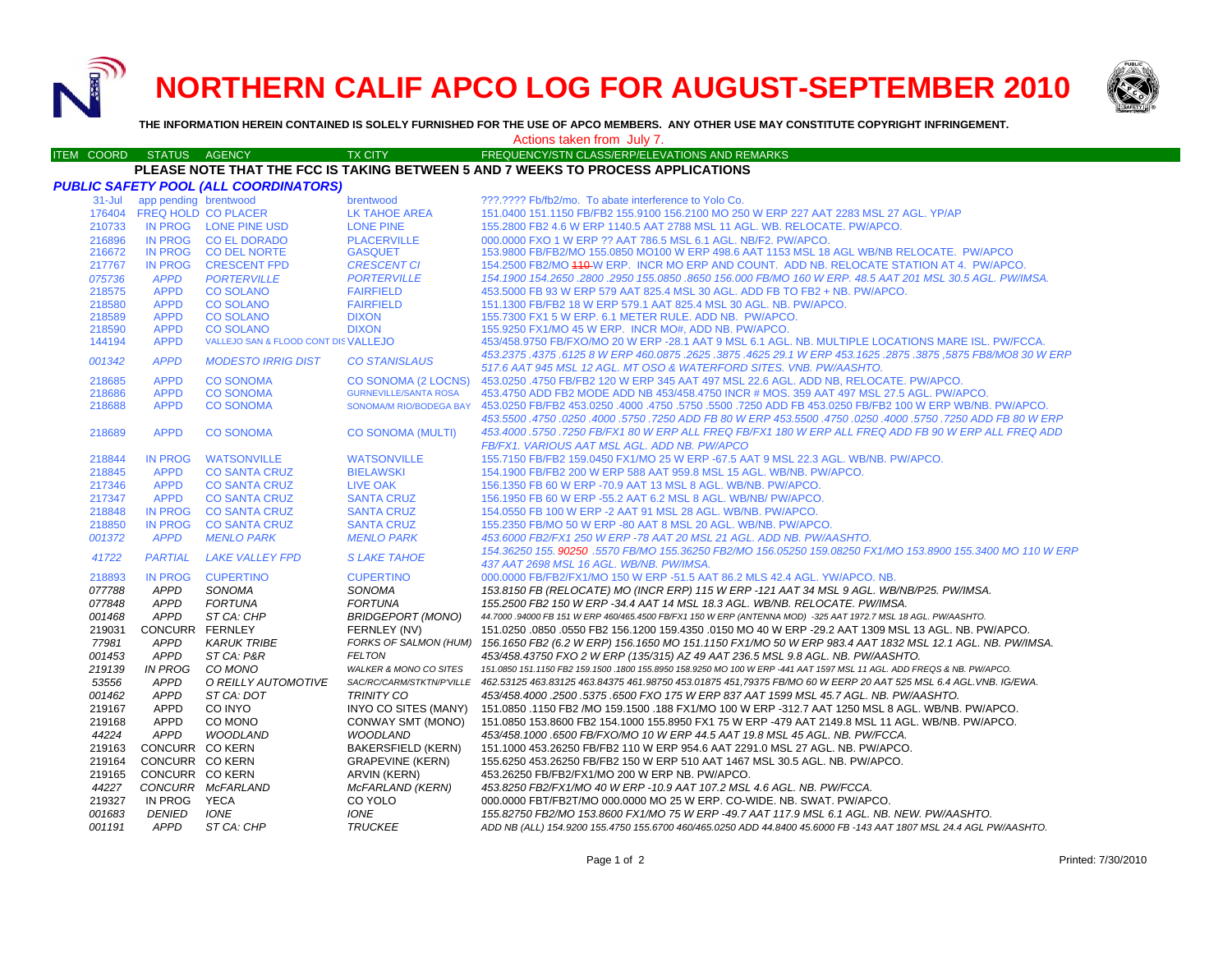**NORTHERN CALIF APCO LOG FOR AUGUST-SEPTEMBER 2010**



**THE INFORMATION HEREIN CONTAINED IS SOLELY FURNISHED FOR THE USE OF APCO MEMBERS. ANY OTHER USE MAY CONSTITUTE COPYRIGHT INFRINGEMENT.**

# Actions taken from July 7.

#### ITEM COORD STATUS AGENCY TX CITY TIREQUENCY/STN CLASS/ERP/ELEVATIONS AND REMARKS **PLEASE NOTE THAT THE FCC IS TAKING BETWEEN 5 AND 7 WEEKS TO PROCESS APPLICATIONS**

|            |                            | PUBLIC SAFETY POOL (ALL COORDINATORS) |                                   |                                                                                                                                                                                       |
|------------|----------------------------|---------------------------------------|-----------------------------------|---------------------------------------------------------------------------------------------------------------------------------------------------------------------------------------|
| $31 -$ Jul | app pending brentwood      |                                       | brentwood                         | ???.???? Fb/fb2/mo. To abate interference to Yolo Co.                                                                                                                                 |
|            | 176404 FREQ HOLD CO PLACER |                                       | <b>LK TAHOE AREA</b>              | 151.0400 151.1150 FB/FB2 155.9100 156.2100 MO 250 W ERP 227 AAT 2283 MSL 27 AGL, YP/AP                                                                                                |
| 210733     |                            | IN PROG LONE PINE USD                 | <b>LONE PINE</b>                  | 155.2800 FB2 4.6 W ERP 1140.5 AAT 2788 MSL 11 AGL, WB, RELOCATE, PW/APCO,                                                                                                             |
| 216896     | IN PROG                    | <b>CO EL DORADO</b>                   | <b>PLACERVILLE</b>                | 000,0000 FXO 1 W ERP ?? AAT 786.5 MSL 6.1 AGL, NB/F2, PW/APCO.                                                                                                                        |
| 216672     | <b>IN PROG</b>             | <b>CO DEL NORTE</b>                   | <b>GASQUET</b>                    | 153.9800 FB/FB2/MO 155.0850 MO100 W ERP 498.6 AAT 1153 MSL 18 AGL WB/NB RELOCATE. PW/APCO                                                                                             |
| 217767     | <b>IN PROG</b>             | <b>CRESCENT FPD</b>                   | <b>CRESCENT CI</b>                | 154.2500 FB2/MO 410 W ERP. INCR MO ERP AND COUNT. ADD NB. RELOCATE STATION AT 4. PW/APCO.                                                                                             |
| 075736     | <b>APPD</b>                | <b>PORTERVILLE</b>                    | <b>PORTERVILLE</b>                | 154.1900 154.2650 .2800 .2950 155.0850 .8650 156.000 FB/MO 160 W ERP, 48.5 AAT 201 MSL 30.5 AGL, PW/IMSA.                                                                             |
| 218575     | <b>APPD</b>                | <b>CO SOLANO</b>                      | <b>FAIRFIELD</b>                  | 453,5000 FB 93 W ERP 579 AAT 825.4 MSL 30 AGL, ADD FB TO FB2 + NB, PW/APCO,                                                                                                           |
| 218580     | <b>APPD</b>                | <b>CO SOLANO</b>                      | <b>FAIRFIELD</b>                  | 151.1300 FB/FB2 18 W ERP 579.1 AAT 825.4 MSL 30 AGL. NB. PW/APCO.                                                                                                                     |
| 218589     | <b>APPD</b>                | <b>CO SOLANO</b>                      | <b>DIXON</b>                      | 155.7300 FX1 5 W ERP. 6.1 METER RULE, ADD NB. PW/APCO.                                                                                                                                |
| 218590     | <b>APPD</b>                | <b>CO SOLANO</b>                      | <b>DIXON</b>                      | 155.9250 FX1/MO 45 W ERP. INCR MO#, ADD NB. PW/APCO.                                                                                                                                  |
| 144194     | <b>APPD</b>                | VALLEJO SAN & FLOOD CONT DISVALLEJO   |                                   | 453/458.9750 FB/FXO/MO 20 W ERP -28.1 AAT 9 MSL 6.1 AGL. NB. MULTIPLE LOCATIONS MARE ISL. PW/FCCA.                                                                                    |
| 001342     | <b>APPD</b>                | <b>MODESTO IRRIG DIST</b>             | <b>CO STANISLAUS</b>              | 453.2375 .4375 .6125 8 W ERP 460.0875 .2625 .3875 .4625 29.1 W ERP 453.1625 .2875 .3875 .5875 FB8/MO8 30 W ERP<br>517.6 AAT 945 MSL 12 AGL. MT OSO & WATERFORD SITES. VNB. PW/AASHTO. |
| 218685     | <b>APPD</b>                | <b>CO SONOMA</b>                      | <b>CO SONOMA (2 LOCNS)</b>        | 453.0250 .4750 FB/FB2 120 W ERP 345 AAT 497 MSL 22.6 AGL, ADD NB, RELOCATE, PW/APCO,                                                                                                  |
| 218686     | <b>APPD</b>                | <b>CO SONOMA</b>                      | <b>GURNEVILLE/SANTA ROSA</b>      | 453.4750 ADD FB2 MODE ADD NB 453/458.4750 INCR # MOS. 359 AAT 497 MSL 27.5 AGL. PW/APCO.                                                                                              |
| 218688     | <b>APPD</b>                | <b>CO SONOMA</b>                      | SONOMA/M RIO/BODEGA BAY           | 453.0250 FB/FB2 453.0250 FB/FB2 100 W ERP WB/NB. PW/APCO. 4750 .4000 .4750 .5750 .5750 .5750 .5750 ADD FB 453.0250 FB/FB2 100 W ERP WB/NB. PW/APCO.                                   |
|            |                            |                                       |                                   | 453.5500 .4750 .0250 .0250 .4000 .5750 .0250 .0250 .4750 .5750 ADD FB 80 W ERP .53.5500 .4750 .0250 .0750 .7250                                                                       |
| 218689     | <b>APPD</b>                | <b>CO SONOMA</b>                      | <b>CO SONOMA (MULTI)</b>          | 453.4000 .5750 .7250 FB/FX1 80 W ERP ALL FREQ FB/FX1 180 W ERP ALL FREQ ADD FB 90 W ERP ALL FREQ ADD<br>FB/FX1. VARIOUS AAT MSL AGL. ADD NB. PW/APCO                                  |
| 218844     | <b>IN PROG</b>             | <b>WATSONVILLE</b>                    | <b>WATSONVILLE</b>                | 155.7150 FB/FB2 159.0450 FX1/MO 25 W ERP -67.5 AAT 9 MSL 22.3 AGL. WB/NB. PW/APCO.                                                                                                    |
| 218845     | <b>APPD</b>                | <b>CO SANTA CRUZ</b>                  | <b>BIELAWSKI</b>                  | 154.1900 FB/FB2 200 W ERP 588 AAT 959.8 MSL 15 AGL, WB/NB, PW/APCO,                                                                                                                   |
| 217346     | <b>APPD</b>                | <b>CO SANTA CRUZ</b>                  | <b>LIVE OAK</b>                   | 156.1350 FB 60 W ERP -70.9 AAT 13 MSL 8 AGL, WB/NB, PW/APCO,                                                                                                                          |
| 217347     | <b>APPD</b>                | <b>CO SANTA CRUZ</b>                  | <b>SANTA CRUZ</b>                 | 156.1950 FB 60 W ERP -55.2 AAT 6.2 MSL 8 AGL. WB/NB/ PW/APCO.                                                                                                                         |
| 218848     | <b>IN PROG</b>             | <b>CO SANTA CRUZ</b>                  | <b>SANTA CRUZ</b>                 | 154,0550 FB 100 W ERP -2 AAT 91 MSL 28 AGL, WB/NB, PW/APCO,                                                                                                                           |
| 218850     | <b>IN PROG</b>             | <b>CO SANTA CRUZ</b>                  | <b>SANTA CRUZ</b>                 | 155,2350 FB/MO 50 W ERP -80 AAT 8 MSL 20 AGL, WB/NB, PW/APCO,                                                                                                                         |
| 001372     | <b>APPD</b>                | <b>MENLO PARK</b>                     | <b>MENLO PARK</b>                 |                                                                                                                                                                                       |
|            |                            |                                       |                                   | 453.6000 FB2/FX1 250 W ERP -78 AAT 20 MSL 21 AGL. ADD NB. PW/AASHTO.<br>154.36250 155.90250 .5570 FB/MO 155.36250 FB2/MO 156.05250 159.08250 FX1/MO 153.8900 155.3400 MO 110 W ERP    |
| 41722      | <b>PARTIAL</b>             | <b>LAKE VALLEY FPD</b>                | <b>SLAKE TAHOE</b>                | 437 AAT 2698 MSL 16 AGL, WB/NB, PW/IMSA,                                                                                                                                              |
| 218893     | <b>IN PROG</b>             | <b>CUPERTINO</b>                      | <b>CUPERTINO</b>                  | 000.0000 FB/FB2/FX1/MO 150 W ERP -51.5 AAT 86.2 MLS 42.4 AGL. YW/APCO. NB.                                                                                                            |
| 077788     | APPD                       | SONOMA                                | SONOMA                            | 153.8150 FB (RELOCATE) MO (INCR ERP) 115 W ERP -121 AAT 34 MSL 9 AGL. WB/NB/P25. PW/IMSA.                                                                                             |
| 077848     | <b>APPD</b>                | <b>FORTUNA</b>                        | <b>FORTUNA</b>                    | 155.2500 FB2 150 W ERP -34.4 AAT 14 MSL 18.3 AGL. WB/NB. RELOCATE. PW/IMSA.                                                                                                           |
| 001468     | <b>APPD</b>                | ST CA: CHP                            | <b>BRIDGEPORT (MONO)</b>          | 44.7000 .94000 FB 151 W ERP 460/465.4500 FB/FX1 150 W ERP (ANTENNA MOD) -325 AAT 1972.7 MSL 18 AGL. PW/AASHTO.                                                                        |
| 219031     | CONCURR FERNLEY            |                                       | FERNLEY (NV)                      | 151.0250 .0850 .0550 FB2 156.1200 159.4350 .0150 MO 40 W ERP -29.2 AAT 1309 MSL 13 AGL, NB, PW/APCO.                                                                                  |
| 77981      | <b>APPD</b>                | <b>KARUK TRIBE</b>                    |                                   | FORKS OF SALMON (HUM) 156.1650 FB2 (6.2 W ERP) 156.1650 MO 151.1150 FX1/MO 50 W ERP 983.4 AAT 1832 MSL 12.1 AGL. NB. PW/IMSA.                                                         |
| 001453     | <b>APPD</b>                | ST CA: P&R                            | <b>FELTON</b>                     | 453/458.43750 FXO 2 W ERP (135/315) AZ 49 AAT 236.5 MSL 9.8 AGL. NB. PW/AASHTO.                                                                                                       |
| 219139     | <b>IN PROG</b>             | CO MONO                               | <b>WALKER &amp; MONO CO SITES</b> | 151.0850 151.1150 FB2 159.1500 .1800 155.8950 158.9250 MO 100 W ERP -441 AAT 1597 MSL 11 AGL. ADD FREQS & NB. PW/APCO.                                                                |
| 53556      | <b>APPD</b>                | O REILLY AUTOMOTIVE                   |                                   | SAC/RC/CARM/STKTN/P'VILLE 462.53125 463.83125 463.84375 461.98750 453.01875 451,79375 FB/MO 60 W EERP 20 AAT 525 MSL 6.4 AGL.VNB. IG/EWA.                                             |
| 001462     | <b>APPD</b>                | ST CA: DOT                            | <b>TRINITY CO</b>                 | 453/458.4000 .2500 .5375 .6500 FXO 175 W ERP 837 AAT 1599 MSL 45.7 AGL. NB. PW/AASHTO.                                                                                                |
| 219167     | APPD                       | CO INYO                               | INYO CO SITES (MANY)              | 151.0850 .1150 FB2 /MO 159.1500 .188 FX1/MO 100 W ERP -312.7 AAT 1250 MSL 8 AGL. WB/NB. PW/APCO.                                                                                      |
| 219168     | <b>APPD</b>                | CO MONO                               | CONWAY SMT (MONO)                 | 151.0850 153.8600 FB2 154.1000 155.8950 FX1 75 W ERP -479 AAT 2149.8 MSL 11 AGL. WB/NB. PW/APCO.                                                                                      |
| 44224      | <b>APPD</b>                | <b>WOODLAND</b>                       | <b>WOODLAND</b>                   | 453/458.1000 .6500 FB/FXO/MO 10 W ERP 44.5 AAT 19.8 MSL 45 AGL. NB. PW/FCCA.                                                                                                          |
| 219163     | CONCURR CO KERN            |                                       | <b>BAKERSFIELD (KERN)</b>         | 151.1000 453.26250 FB/FB2 110 W ERP 954.6 AAT 2291.0 MSL 27 AGL. NB. PW/APCO.                                                                                                         |
| 219164     | CONCURR CO KERN            |                                       | <b>GRAPEVINE (KERN)</b>           | 155.6250 453.26250 FB/FB2 150 W ERP 510 AAT 1467 MSL 30.5 AGL, NB, PW/APCO,                                                                                                           |
| 219165     | CONCURR CO KERN            |                                       | ARVIN (KERN)                      | 453.26250 FB/FB2/FX1/MO 200 W ERP NB, PW/APCO,                                                                                                                                        |
| 44227      |                            | CONCURR McFARLAND                     | McFARLAND (KERN)                  | 453.8250 FB2/FX1/MO 40 W ERP -10.9 AAT 107.2 MSL 4.6 AGL. NB. PW/FCCA.                                                                                                                |
| 219327     | IN PROG                    | YECA                                  | CO YOLO                           | 000.0000 FBT/FB2T/MO 000.0000 MO 25 W ERP. CO-WIDE. NB. SWAT. PW/APCO.                                                                                                                |
| 001683     | <b>DENIED</b>              | <b>IONE</b>                           | <b>IONE</b>                       | 155.82750 FB2/MO 153.8600 FX1/MO 75 W ERP -49.7 AAT 117.9 MSL 6.1 AGL. NB. NEW. PW/AASHTO.                                                                                            |
| 001191     | <b>APPD</b>                | ST CA: CHP                            | <b>TRUCKEE</b>                    | ADD NB (ALL) 154.9200 155.4750 155.6700 460/465.0250 ADD 44.8400 45.6000 FB -143 AAT 1807 MSL 24.4 AGL PW/AASHTO.                                                                     |
|            |                            |                                       |                                   |                                                                                                                                                                                       |